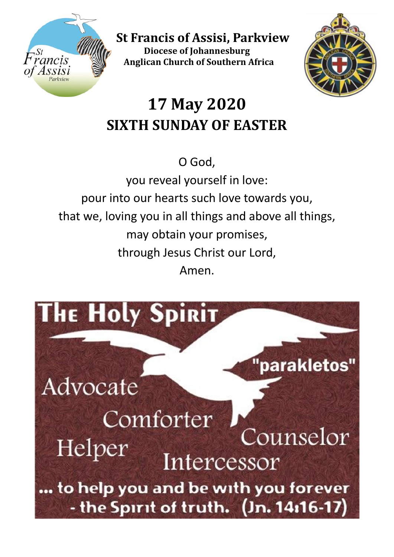

 **St Francis of Assisi, Parkview Diocese of Johannesburg Anglican Church of Southern Africa**



# **17 May 2020 SIXTH SUNDAY OF EASTER**

# O God,

you reveal yourself in love: pour into our hearts such love towards you, that we, loving you in all things and above all things, may obtain your promises, through Jesus Christ our Lord, Amen.

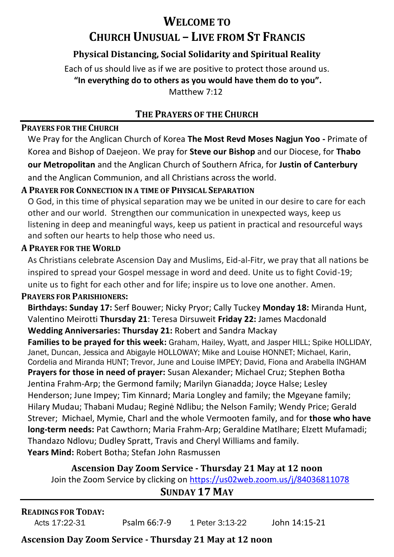# **WELCOME TO CHURCH UNUSUAL – LIVE FROM ST FRANCIS**

### **Physical Distancing, Social Solidarity and Spiritual Reality**

Each of us should live as if we are positive to protect those around us. **"In everything do to others as you would have them do to you".**  Matthew 7.12

#### **THE PRAYERS OF THE CHURCH**

#### **PRAYERS FOR THE CHURCH**

We Pray for the Anglican Church of Korea **The Most Revd Moses Nagjun Yoo -** Primate of Korea and Bishop of Daejeon. We pray for **Steve our Bishop** and our Diocese, for **Thabo our Metropolitan** and the Anglican Church of Southern Africa, for **Justin of Canterbury** and the Anglican Communion, and all Christians across the world.

#### **A PRAYER FOR CONNECTION IN A TIME OF PHYSICAL SEPARATION**

O God, in this time of physical separation may we be united in our desire to care for each other and our world. Strengthen our communication in unexpected ways, keep us listening in deep and meaningful ways, keep us patient in practical and resourceful ways and soften our hearts to help those who need us.

#### **A PRAYER FOR THE WORLD**

As Christians celebrate Ascension Day and Muslims, Eid-al-Fitr, we pray that all nations be inspired to spread your Gospel message in word and deed. Unite us to fight Covid-19; unite us to fight for each other and for life; inspire us to love one another. Amen.

#### **PRAYERS FOR PARISHIONERS:**

**Birthdays: Sunday 17:** Serf Bouwer; Nicky Pryor; Cally Tuckey **Monday 18:** Miranda Hunt, Valentino Meirotti **Thursday 21**: Teresa Dirsuweit **Friday 22:** James Macdonald **Wedding Anniversaries: Thursday 21:** Robert and Sandra Mackay

**Families to be prayed for this week:** Graham, Hailey, Wyatt, and Jasper HILL; Spike HOLLIDAY, Janet, Duncan, Jessica and Abigayle HOLLOWAY; Mike and Louise HONNET; Michael, Karin, Cordelia and Miranda HUNT; Trevor, June and Louise IMPEY; David, Fiona and Arabella INGHAM **Prayers for those in need of prayer:** Susan Alexander; Michael Cruz; Stephen Botha Jentina Frahm-Arp; the Germond family; Marilyn Gianadda; Joyce Halse; Lesley Henderson; June Impey; Tim Kinnard; Maria Longley and family; the Mgeyane family; Hilary Mudau; Thabani Mudau; Reginė Ndlibu; the Nelson Family; Wendy Price; Gerald Strever; Michael, Mymie, Charl and the whole Vermooten family, and for **those who have long-term needs:** Pat Cawthorn; Maria Frahm-Arp; Geraldine Matlhare; Elzett Mufamadi; Thandazo Ndlovu; Dudley Spratt, Travis and Cheryl Williams and family.  **Years Mind:** Robert Botha; Stefan John Rasmussen

#### **Ascension Day Zoom Service - Thursday 21 May at 12 noon**

Join the Zoom Service by clicking o[n https://us02web.zoom.us/j/84036811078](https://us02web.zoom.us/j/84036811078)

### **SUNDAY 17 MAY**

| <b>READINGS FOR TODAY:</b> |              |                 |               |
|----------------------------|--------------|-----------------|---------------|
| Acts 17:22-31              | Psalm 66:7-9 | 1 Peter 3:13-22 | John 14:15-21 |

### **Ascension Day Zoom Service - Thursday 21 May at 12 noon**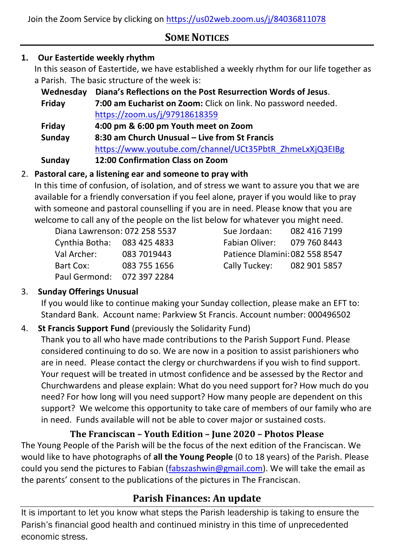Join the Zoom Service by clicking o[n https://us02web.zoom.us/j/84036811078](https://us02web.zoom.us/j/84036811078)

# **SOME NOTICES**

### **1. Our Eastertide weekly rhythm**

In this season of Eastertide, we have established a weekly rhythm for our life together as a Parish. The basic structure of the week is:

| Wednesday | Diana's Reflections on the Post Resurrection Words of Jesus.  |  |  |
|-----------|---------------------------------------------------------------|--|--|
| Friday    | 7:00 am Eucharist on Zoom: Click on link. No password needed. |  |  |
|           | https://zoom.us/j/97918618359                                 |  |  |
| Friday    | 4:00 pm & 6:00 pm Youth meet on Zoom                          |  |  |
| Sunday    | 8:30 am Church Unusual – Live from St Francis                 |  |  |
|           | https://www.youtube.com/channel/UCt35PbtR_ZhmeLxXjQ3EIBg      |  |  |
| Sunday    | 12:00 Confirmation Class on Zoom                              |  |  |

#### 2. **Pastoral care, a listening ear and someone to pray with**

In this time of confusion, of isolation, and of stress we want to assure you that we are available for a friendly conversation if you feel alone, prayer if you would like to pray with someone and pastoral counselling if you are in need. Please know that you are welcome to call any of the people on the list below for whatever you might need.

| Diana Lawrenson: 072 258 5537 | Sue Jordaan:                   | 082 416 7199 |
|-------------------------------|--------------------------------|--------------|
| Cynthia Botha: 083 425 4833   | Fabian Oliver:                 | 079 760 8443 |
| Val Archer:<br>083 7019443    | Patience Dlamini: 082 558 8547 |              |
| 083 755 1656<br>Bart Cox:     | Cally Tuckey: 082 901 5857     |              |
| Paul Germond: 072 397 2284    |                                |              |

| sue Jordaan:                 | U82 410 719 |  |
|------------------------------|-------------|--|
| Fabian Oliver:               | 079 760 844 |  |
| Patience Dlamini:082 558 854 |             |  |
| Cally Tuckey:                | 082 901 585 |  |
|                              |             |  |

### 3. **Sunday Offerings Unusual**

If you would like to continue making your Sunday collection, please make an EFT to: Standard Bank. Account name: Parkview St Francis. Account number: 000496502

### 4. **St Francis Support Fund** (previously the Solidarity Fund)

Thank you to all who have made contributions to the Parish Support Fund. Please considered continuing to do so. We are now in a position to assist parishioners who are in need. Please contact the clergy or churchwardens if you wish to find support. Your request will be treated in utmost confidence and be assessed by the Rector and Churchwardens and please explain: What do you need support for? How much do you need? For how long will you need support? How many people are dependent on this support? We welcome this opportunity to take care of members of our family who are in need. Funds available will not be able to cover major or sustained costs.

### **The Franciscan – Youth Edition – June 2020 – Photos Please**

The Young People of the Parish will be the focus of the next edition of the Franciscan. We would like to have photographs of **all the Young People** (0 to 18 years) of the Parish. Please could you send the pictures to Fabian [\(fabszashwin@gmail.com\)](mailto:fabszashwin@gmail.com). We will take the email as the parents' consent to the publications of the pictures in The Franciscan.

## **Parish Finances: An update**

It is important to let you know what steps the Parish leadership is taking to ensure the Parish's financial good health and continued ministry in this time of unprecedented economic stress.